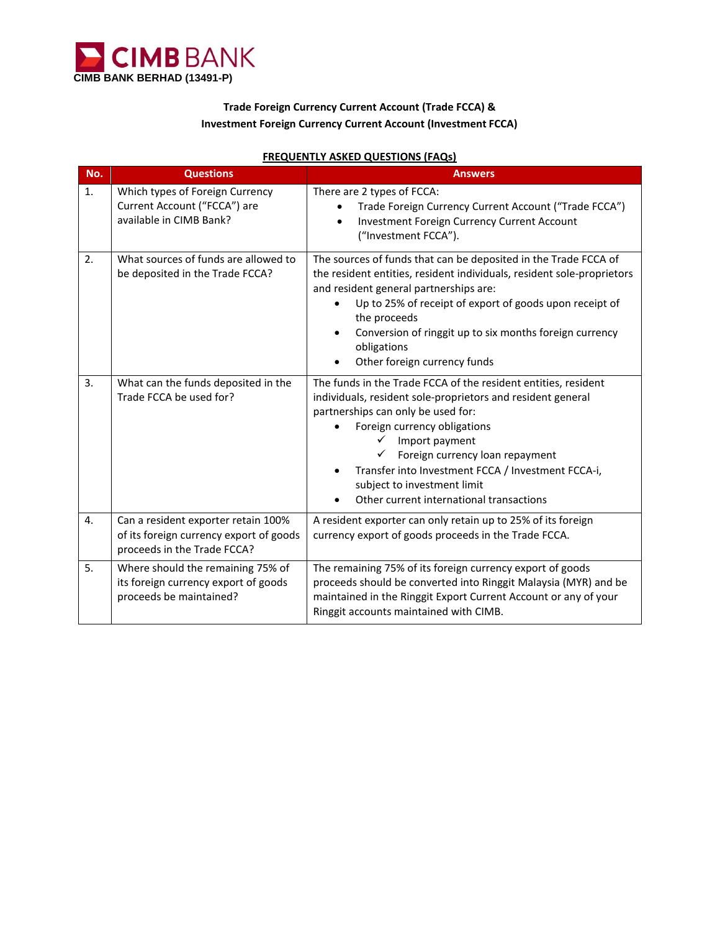

## **Trade Foreign Currency Current Account (Trade FCCA) & Investment Foreign Currency Current Account (Investment FCCA)**

| <u><b>INEQUEIVIE: AURED QUESTIONS (TAQS)</b></u> |                                                                                                               |                                                                                                                                                                                                                                                                                                                                                                                           |
|--------------------------------------------------|---------------------------------------------------------------------------------------------------------------|-------------------------------------------------------------------------------------------------------------------------------------------------------------------------------------------------------------------------------------------------------------------------------------------------------------------------------------------------------------------------------------------|
| No.                                              | <b>Questions</b>                                                                                              | <b>Answers</b>                                                                                                                                                                                                                                                                                                                                                                            |
| 1.                                               | Which types of Foreign Currency<br>Current Account ("FCCA") are<br>available in CIMB Bank?                    | There are 2 types of FCCA:<br>Trade Foreign Currency Current Account ("Trade FCCA")<br>Investment Foreign Currency Current Account<br>("Investment FCCA").                                                                                                                                                                                                                                |
| 2.                                               | What sources of funds are allowed to<br>be deposited in the Trade FCCA?                                       | The sources of funds that can be deposited in the Trade FCCA of<br>the resident entities, resident individuals, resident sole-proprietors<br>and resident general partnerships are:<br>Up to 25% of receipt of export of goods upon receipt of<br>the proceeds<br>Conversion of ringgit up to six months foreign currency<br>obligations<br>Other foreign currency funds                  |
| 3.                                               | What can the funds deposited in the<br>Trade FCCA be used for?                                                | The funds in the Trade FCCA of the resident entities, resident<br>individuals, resident sole-proprietors and resident general<br>partnerships can only be used for:<br>Foreign currency obligations<br>Import payment<br>Foreign currency loan repayment<br>Transfer into Investment FCCA / Investment FCCA-i,<br>subject to investment limit<br>Other current international transactions |
| 4.                                               | Can a resident exporter retain 100%<br>of its foreign currency export of goods<br>proceeds in the Trade FCCA? | A resident exporter can only retain up to 25% of its foreign<br>currency export of goods proceeds in the Trade FCCA.                                                                                                                                                                                                                                                                      |
| 5.                                               | Where should the remaining 75% of<br>its foreign currency export of goods<br>proceeds be maintained?          | The remaining 75% of its foreign currency export of goods<br>proceeds should be converted into Ringgit Malaysia (MYR) and be<br>maintained in the Ringgit Export Current Account or any of your<br>Ringgit accounts maintained with CIMB.                                                                                                                                                 |

## **FREQUENTLY ASKED QUESTIONS (FAQs)**